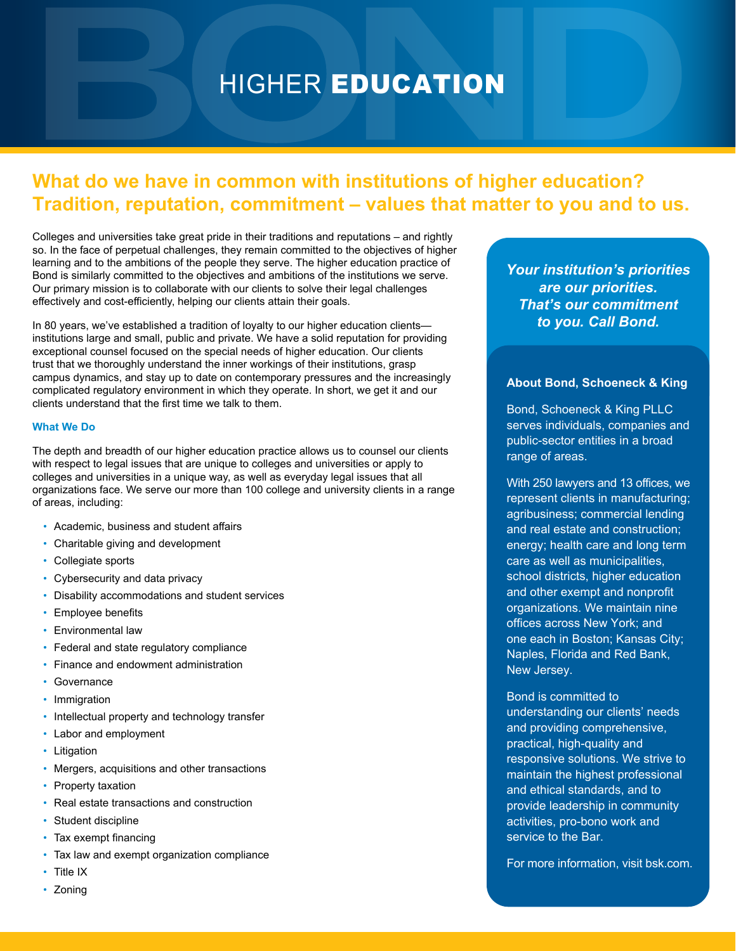# HIGHER EDUCATION

# **What do we have in common with institutions of higher education? Tradition, reputation, commitment – values that matter to you and to us.**

Colleges and universities take great pride in their traditions and reputations – and rightly so. In the face of perpetual challenges, they remain committed to the objectives of higher learning and to the ambitions of the people they serve. The higher education practice of Bond is similarly committed to the objectives and ambitions of the institutions we serve. Our primary mission is to collaborate with our clients to solve their legal challenges effectively and cost-efficiently, helping our clients attain their goals.

In 80 years, we've established a tradition of loyalty to our higher education clients institutions large and small, public and private. We have a solid reputation for providing exceptional counsel focused on the special needs of higher education. Our clients trust that we thoroughly understand the inner workings of their institutions, grasp campus dynamics, and stay up to date on contemporary pressures and the increasingly complicated regulatory environment in which they operate. In short, we get it and our clients understand that the first time we talk to them.

### **What We Do**

The depth and breadth of our higher education practice allows us to counsel our clients with respect to legal issues that are unique to colleges and universities or apply to colleges and universities in a unique way, as well as everyday legal issues that all organizations face. We serve our more than 100 college and university clients in a range of areas, including:

- Academic, business and student affairs
- Charitable giving and development
- Collegiate sports
- Cybersecurity and data privacy
- Disability accommodations and student services
- Employee benefits
- Environmental law
- Federal and state regulatory compliance
- Finance and endowment administration
- Governance
- Immigration
- Intellectual property and technology transfer
- Labor and employment
- Litigation
- Mergers, acquisitions and other transactions
- Property taxation
- Real estate transactions and construction
- Student discipline
- Tax exempt financing
- Tax law and exempt organization compliance
- **Title IX**
- Zoning

*Your institution's priorities are our priorities. That's our commitment to you. Call Bond.*

# **About Bond, Schoeneck & King**

Bond, Schoeneck & King PLLC serves individuals, companies and public-sector entities in a broad range of areas.

With 250 lawyers and 13 offices, we represent clients in manufacturing; agribusiness; commercial lending and real estate and construction; energy; health care and long term care as well as municipalities, school districts, higher education and other exempt and nonprofit organizations. We maintain nine offices across New York; and one each in Boston; Kansas City; Naples, Florida and Red Bank, New Jersey.

Bond is committed to understanding our clients' needs and providing comprehensive, practical, high-quality and responsive solutions. We strive to maintain the highest professional and ethical standards, and to provide leadership in community activities, pro-bono work and service to the Bar.

For more information, visit bsk.com.